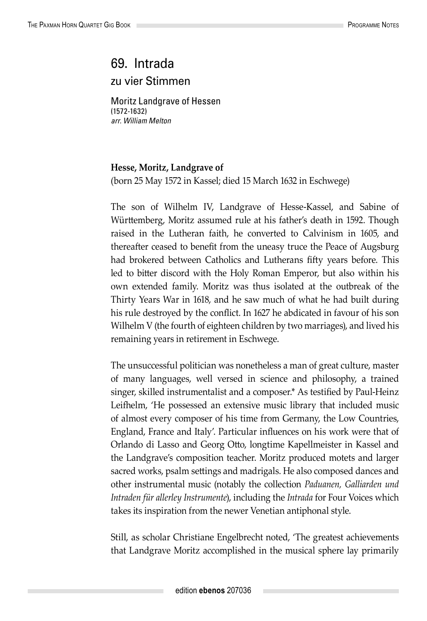## 69. Intrada zu vier Stimmen

Moritz Landgrave of Hessen (1572-1632) *arr. William Melton*

## **Hesse, Moritz, Landgrave of**

(born 25 May 1572 in Kassel; died 15 March 1632 in Eschwege)

The son of Wilhelm IV, Landgrave of Hesse-Kassel, and Sabine of Württemberg, Moritz assumed rule at his father's death in 1592. Though raised in the Lutheran faith, he converted to Calvinism in 1605, and thereafter ceased to benefit from the uneasy truce the Peace of Augsburg had brokered between Catholics and Lutherans fifty years before. This led to bitter discord with the Holy Roman Emperor, but also within his own extended family. Moritz was thus isolated at the outbreak of the Thirty Years War in 1618, and he saw much of what he had built during his rule destroyed by the conflict. In 1627 he abdicated in favour of his son Wilhelm V (the fourth of eighteen children by two marriages), and lived his remaining years in retirement in Eschwege.

The unsuccessful politician was nonetheless a man of great culture, master of many languages, well versed in science and philosophy, a trained singer, skilled instrumentalist and a composer.\* As testified by Paul-Heinz Leifhelm, 'He possessed an extensive music library that included music of almost every composer of his time from Germany, the Low Countries, England, France and Italy'. Particular influences on his work were that of Orlando di Lasso and Georg Otto, longtime Kapellmeister in Kassel and the Landgrave's composition teacher. Moritz produced motets and larger sacred works, psalm settings and madrigals. He also composed dances and other instrumental music (notably the collection *Paduanen, Galliarden und Intraden für allerley Instrumente*), including the *Intrada* for Four Voices which takes its inspiration from the newer Venetian antiphonal style.

Still, as scholar Christiane Engelbrecht noted, 'The greatest achievements that Landgrave Moritz accomplished in the musical sphere lay primarily